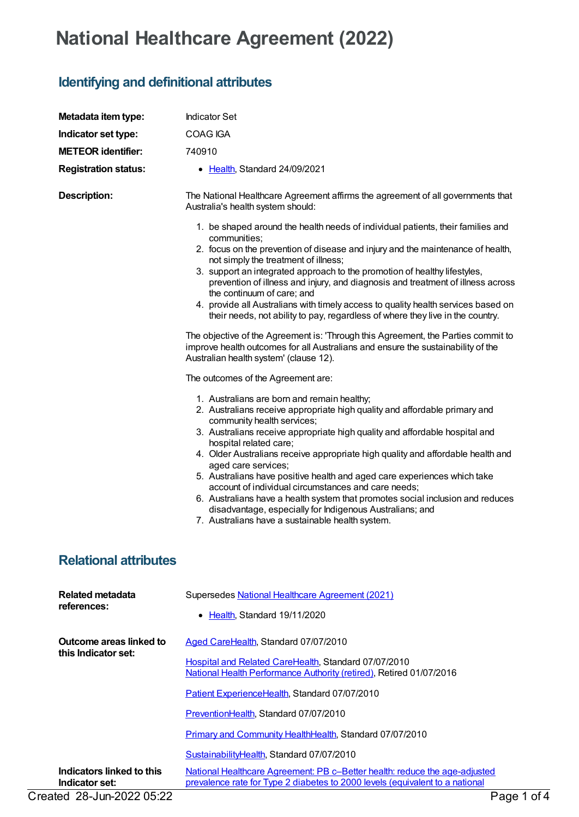## **National Healthcare Agreement (2022)**

## **Identifying and definitional attributes**

| Metadata item type:                            | <b>Indicator Set</b>                                                                                                                                                                                                                                                                                                                                                                                                                                                                                                                                                                                                                                                                                            |
|------------------------------------------------|-----------------------------------------------------------------------------------------------------------------------------------------------------------------------------------------------------------------------------------------------------------------------------------------------------------------------------------------------------------------------------------------------------------------------------------------------------------------------------------------------------------------------------------------------------------------------------------------------------------------------------------------------------------------------------------------------------------------|
| Indicator set type:                            | <b>COAG IGA</b>                                                                                                                                                                                                                                                                                                                                                                                                                                                                                                                                                                                                                                                                                                 |
| <b>METEOR identifier:</b>                      | 740910                                                                                                                                                                                                                                                                                                                                                                                                                                                                                                                                                                                                                                                                                                          |
| <b>Registration status:</b>                    | • Health, Standard 24/09/2021                                                                                                                                                                                                                                                                                                                                                                                                                                                                                                                                                                                                                                                                                   |
| <b>Description:</b>                            | The National Healthcare Agreement affirms the agreement of all governments that<br>Australia's health system should:                                                                                                                                                                                                                                                                                                                                                                                                                                                                                                                                                                                            |
|                                                | 1. be shaped around the health needs of individual patients, their families and<br>communities;<br>2. focus on the prevention of disease and injury and the maintenance of health,<br>not simply the treatment of illness;<br>3. support an integrated approach to the promotion of healthy lifestyles,<br>prevention of illness and injury, and diagnosis and treatment of illness across<br>the continuum of care; and<br>4. provide all Australians with timely access to quality health services based on<br>their needs, not ability to pay, regardless of where they live in the country.<br>The objective of the Agreement is: 'Through this Agreement, the Parties commit to                            |
|                                                | improve health outcomes for all Australians and ensure the sustainability of the<br>Australian health system' (clause 12).                                                                                                                                                                                                                                                                                                                                                                                                                                                                                                                                                                                      |
|                                                | The outcomes of the Agreement are:                                                                                                                                                                                                                                                                                                                                                                                                                                                                                                                                                                                                                                                                              |
|                                                | 1. Australians are born and remain healthy;<br>2. Australians receive appropriate high quality and affordable primary and<br>community health services;<br>3. Australians receive appropriate high quality and affordable hospital and<br>hospital related care;<br>4. Older Australians receive appropriate high quality and affordable health and<br>aged care services;<br>5. Australians have positive health and aged care experiences which take<br>account of individual circumstances and care needs;<br>6. Australians have a health system that promotes social inclusion and reduces<br>disadvantage, especially for Indigenous Australians; and<br>7. Australians have a sustainable health system. |
| <b>Relational attributes</b>                   |                                                                                                                                                                                                                                                                                                                                                                                                                                                                                                                                                                                                                                                                                                                 |
| <b>Related metadata</b><br>references:         | Supersedes National Healthcare Agreement (2021)                                                                                                                                                                                                                                                                                                                                                                                                                                                                                                                                                                                                                                                                 |
|                                                | • Health, Standard 19/11/2020                                                                                                                                                                                                                                                                                                                                                                                                                                                                                                                                                                                                                                                                                   |
| Outcome areas linked to<br>this Indicator set: | Aged CareHealth, Standard 07/07/2010                                                                                                                                                                                                                                                                                                                                                                                                                                                                                                                                                                                                                                                                            |
|                                                | Hospital and Related CareHealth, Standard 07/07/2010<br>National Health Performance Authority (retired), Retired 01/07/2016                                                                                                                                                                                                                                                                                                                                                                                                                                                                                                                                                                                     |
|                                                | Patient ExperienceHealth, Standard 07/07/2010                                                                                                                                                                                                                                                                                                                                                                                                                                                                                                                                                                                                                                                                   |
|                                                | PreventionHealth, Standard 07/07/2010                                                                                                                                                                                                                                                                                                                                                                                                                                                                                                                                                                                                                                                                           |
|                                                | Primary and Community HealthHealth, Standard 07/07/2010                                                                                                                                                                                                                                                                                                                                                                                                                                                                                                                                                                                                                                                         |
| Indicators linked to this                      | SustainabilityHealth, Standard 07/07/2010<br>National Healthcare Agreement: PB c-Better health: reduce the age-adjusted                                                                                                                                                                                                                                                                                                                                                                                                                                                                                                                                                                                         |
| Indicator set:<br>Created 28-Jun-2022 05:22    | prevalence rate for Type 2 diabetes to 2000 levels (equivalent to a national<br>Page 1 of 4                                                                                                                                                                                                                                                                                                                                                                                                                                                                                                                                                                                                                     |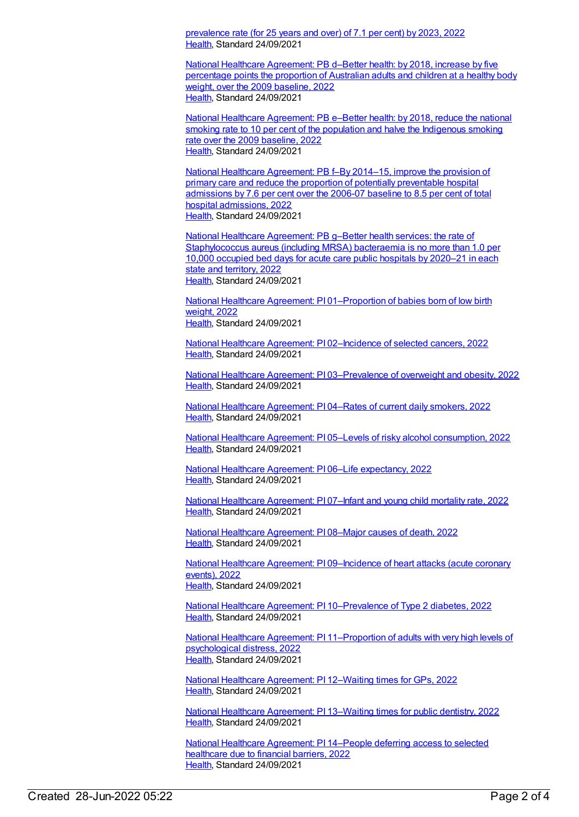prevalence rate (for 25 years and over) of 7.1 per cent) by 2023, 2022 [Health](https://meteor.aihw.gov.au/RegistrationAuthority/12), Standard 24/09/2021

National Healthcare [Agreement:](https://meteor.aihw.gov.au/content/740902) PB d–Better health: by 2018, increase by five percentage points the proportion of Australian adults and children at a healthy body weight, over the 2009 baseline, 2022 [Health](https://meteor.aihw.gov.au/RegistrationAuthority/12), Standard 24/09/2021

National Healthcare [Agreement:](https://meteor.aihw.gov.au/content/740900) PB e–Better health: by 2018, reduce the national smoking rate to 10 per cent of the population and halve the Indigenous smoking rate over the 2009 baseline, 2022 [Health](https://meteor.aihw.gov.au/RegistrationAuthority/12), Standard 24/09/2021

National Healthcare [Agreement:](https://meteor.aihw.gov.au/content/740898) PB f–By 2014–15, improve the provision of primary care and reduce the proportion of potentially preventable hospital admissions by 7.6 per cent over the 2006-07 baseline to 8.5 per cent of total hospital admissions, 2022 [Health](https://meteor.aihw.gov.au/RegistrationAuthority/12), Standard 24/09/2021

National Healthcare Agreement: PB g–Better health services: the rate of [Staphylococcus](https://meteor.aihw.gov.au/content/740896) aureus (including MRSA) bacteraemia is no more than 1.0 per 10,000 occupied bed days for acute care public hospitals by 2020–21 in each state and territory, 2022 [Health](https://meteor.aihw.gov.au/RegistrationAuthority/12), Standard 24/09/2021

National Healthcare Agreement: PI [01–Proportion](https://meteor.aihw.gov.au/content/740894) of babies born of low birth weight, 2022 [Health](https://meteor.aihw.gov.au/RegistrationAuthority/12), Standard 24/09/2021

National Healthcare Agreement: PI [02–Incidence](https://meteor.aihw.gov.au/content/740892) of selected cancers, 2022 [Health](https://meteor.aihw.gov.au/RegistrationAuthority/12), Standard 24/09/2021

National Healthcare Agreement: PI [03–Prevalence](https://meteor.aihw.gov.au/content/740890) of overweight and obesity, 2022 [Health](https://meteor.aihw.gov.au/RegistrationAuthority/12), Standard 24/09/2021

National Healthcare [Agreement:](https://meteor.aihw.gov.au/content/740888) PI 04–Rates of current daily smokers, 2022 [Health](https://meteor.aihw.gov.au/RegistrationAuthority/12), Standard 24/09/2021

National Healthcare Agreement: PI 05–Levels of risky alcohol [consumption,](https://meteor.aihw.gov.au/content/740886) 2022 [Health](https://meteor.aihw.gov.au/RegistrationAuthority/12), Standard 24/09/2021

National Healthcare Agreement: PI 06–Life [expectancy,](https://meteor.aihw.gov.au/content/740884) 2022 [Health](https://meteor.aihw.gov.au/RegistrationAuthority/12), Standard 24/09/2021

National Healthcare [Agreement:](https://meteor.aihw.gov.au/content/740882) PI 07–Infant and young child mortality rate, 2022 [Health](https://meteor.aihw.gov.au/RegistrationAuthority/12), Standard 24/09/2021

National Healthcare [Agreement:](https://meteor.aihw.gov.au/content/740880) PI 08–Major causes of death, 2022 [Health](https://meteor.aihw.gov.au/RegistrationAuthority/12), Standard 24/09/2021

National Healthcare Agreement: PI [09–Incidence](https://meteor.aihw.gov.au/content/740878) of heart attacks (acute coronary events), 2022 [Health](https://meteor.aihw.gov.au/RegistrationAuthority/12), Standard 24/09/2021

National Healthcare Agreement: PI [10–Prevalence](https://meteor.aihw.gov.au/content/740876) of Type 2 diabetes, 2022 [Health](https://meteor.aihw.gov.au/RegistrationAuthority/12), Standard 24/09/2021

National Healthcare Agreement: PI [11–Proportion](https://meteor.aihw.gov.au/content/740874) of adults with very high levels of psychological distress, 2022 [Health](https://meteor.aihw.gov.au/RegistrationAuthority/12), Standard 24/09/2021

National Healthcare [Agreement:](https://meteor.aihw.gov.au/content/740872) PI 12–Waiting times for GPs, 2022 [Health](https://meteor.aihw.gov.au/RegistrationAuthority/12), Standard 24/09/2021

National Healthcare [Agreement:](https://meteor.aihw.gov.au/content/740870) PI 13–Waiting times for public dentistry, 2022 [Health](https://meteor.aihw.gov.au/RegistrationAuthority/12), Standard 24/09/2021

National Healthcare [Agreement:](https://meteor.aihw.gov.au/content/740868) PI 14–People deferring access to selected healthcare due to financial barriers, 2022 [Health](https://meteor.aihw.gov.au/RegistrationAuthority/12), Standard 24/09/2021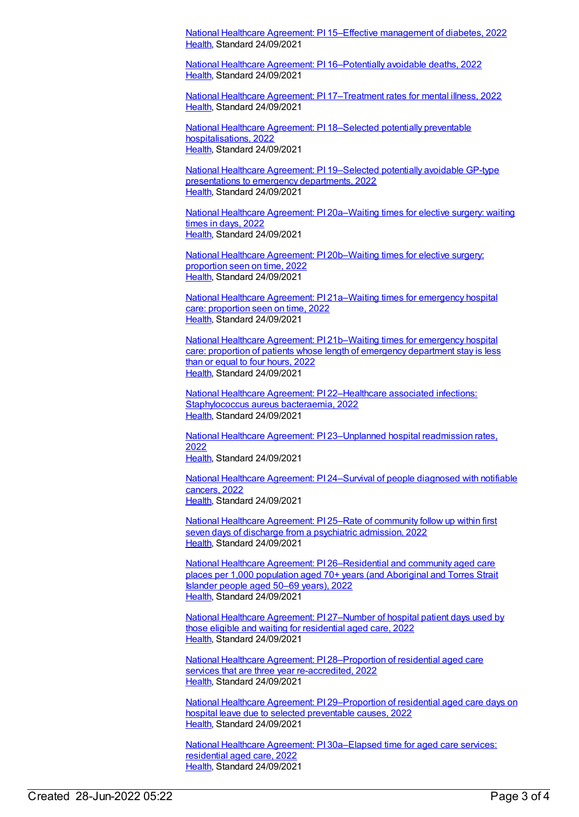National Healthcare Agreement: PI 15–Effective [management](https://meteor.aihw.gov.au/content/740866) of diabetes, 2022 [Health](https://meteor.aihw.gov.au/RegistrationAuthority/12), Standard 24/09/2021

National Healthcare Agreement: PI [16–Potentially](https://meteor.aihw.gov.au/content/740864) avoidable deaths, 2022 [Health](https://meteor.aihw.gov.au/RegistrationAuthority/12), Standard 24/09/2021

National Healthcare Agreement: PI [17–Treatment](https://meteor.aihw.gov.au/content/740862) rates for mental illness, 2022 [Health](https://meteor.aihw.gov.au/RegistrationAuthority/12), Standard 24/09/2021

National Healthcare Agreement: PI 18–Selected potentially preventable [hospitalisations,](https://meteor.aihw.gov.au/content/740851) 2022 [Health](https://meteor.aihw.gov.au/RegistrationAuthority/12), Standard 24/09/2021

National Healthcare Agreement: PI [19–Selected](https://meteor.aihw.gov.au/content/740847) potentially avoidable GP-type presentations to emergency departments, 2022 [Health](https://meteor.aihw.gov.au/RegistrationAuthority/12), Standard 24/09/2021

National Healthcare Agreement: PI [20a–Waiting](https://meteor.aihw.gov.au/content/740845) times for elective surgery: waiting times in days, 2022 [Health](https://meteor.aihw.gov.au/RegistrationAuthority/12), Standard 24/09/2021

National Healthcare Agreement: PI [20b–Waiting](https://meteor.aihw.gov.au/content/740843) times for elective surgery: proportion seen on time, 2022 [Health](https://meteor.aihw.gov.au/RegistrationAuthority/12), Standard 24/09/2021

National Healthcare Agreement: PI [21a–Waiting](https://meteor.aihw.gov.au/content/740840) times for emergency hospital care: proportion seen on time, 2022 [Health](https://meteor.aihw.gov.au/RegistrationAuthority/12), Standard 24/09/2021

National Healthcare Agreement: PI [21b–Waiting](https://meteor.aihw.gov.au/content/740838) times for emergency hospital care: proportion of patients whose length of emergency department stay is less than or equal to four hours, 2022 [Health](https://meteor.aihw.gov.au/RegistrationAuthority/12), Standard 24/09/2021

National Healthcare Agreement: PI [22–Healthcare](https://meteor.aihw.gov.au/content/740834) associated infections: Staphylococcus aureus bacteraemia, 2022 [Health](https://meteor.aihw.gov.au/RegistrationAuthority/12), Standard 24/09/2021

National Healthcare Agreement: PI [23–Unplanned](https://meteor.aihw.gov.au/content/742756) hospital readmission rates, 2022 [Health](https://meteor.aihw.gov.au/RegistrationAuthority/12), Standard 24/09/2021

National Healthcare Agreement: PI [24–Survival](https://meteor.aihw.gov.au/content/740830) of people diagnosed with notifiable cancers, 2022 [Health](https://meteor.aihw.gov.au/RegistrationAuthority/12), Standard 24/09/2021

National Healthcare [Agreement:](https://meteor.aihw.gov.au/content/740828) PI 25–Rate of community follow up within first seven days of discharge from a psychiatric admission, 2022 [Health](https://meteor.aihw.gov.au/RegistrationAuthority/12), Standard 24/09/2021

National Healthcare Agreement: PI [26–Residential](https://meteor.aihw.gov.au/content/740826) and community aged care places per 1,000 population aged 70+ years (and Aboriginal and Torres Strait Islander people aged 50–69 years), 2022 [Health](https://meteor.aihw.gov.au/RegistrationAuthority/12), Standard 24/09/2021

National Healthcare Agreement: PI [27–Number](https://meteor.aihw.gov.au/content/740822) of hospital patient days used by those eligible and waiting for residential aged care, 2022 [Health](https://meteor.aihw.gov.au/RegistrationAuthority/12), Standard 24/09/2021

National Healthcare Agreement: PI [28–Proportion](https://meteor.aihw.gov.au/content/740820) of residential aged care services that are three year re-accredited, 2022 [Health](https://meteor.aihw.gov.au/RegistrationAuthority/12), Standard 24/09/2021

National Healthcare Agreement: PI [29–Proportion](https://meteor.aihw.gov.au/content/740752) of residential aged care days on hospital leave due to selected preventable causes, 2022 [Health](https://meteor.aihw.gov.au/RegistrationAuthority/12), Standard 24/09/2021

National Healthcare Agreement: PI [30a–Elapsed](https://meteor.aihw.gov.au/content/740750) time for aged care services: residential aged care, 2022 [Health](https://meteor.aihw.gov.au/RegistrationAuthority/12), Standard 24/09/2021